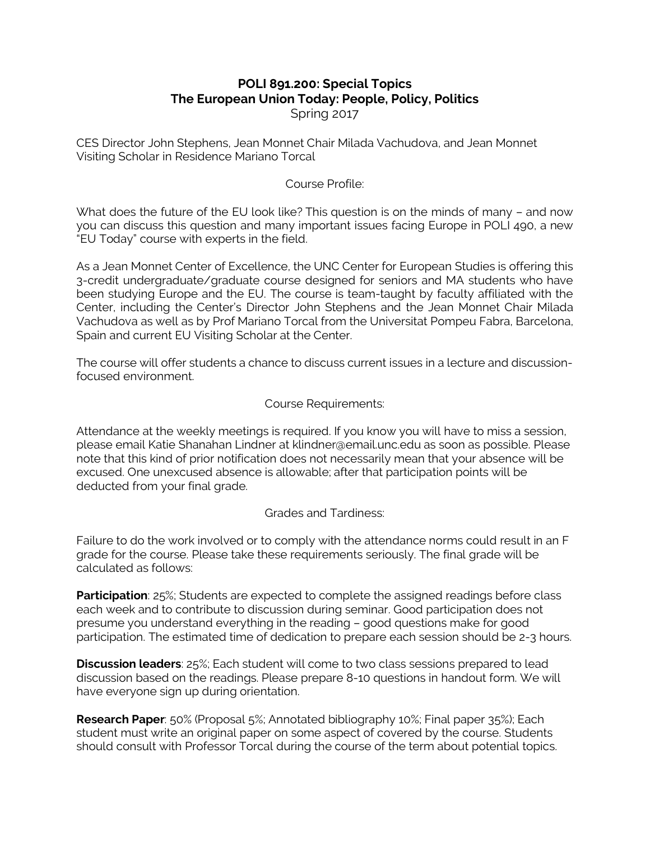# **POLI 891.200: Special Topics The European Union Today: People, Policy, Politics** Spring 2017

CES Director John Stephens, Jean Monnet Chair Milada Vachudova, and Jean Monnet Visiting Scholar in Residence Mariano Torcal

# Course Profile:

What does the future of the EU look like? This question is on the minds of many – and now you can discuss this question and many important issues facing Europe in POLI 490, a new "EU Today" course with experts in the field.

As a Jean Monnet Center of Excellence, the UNC Center for European Studies is offering this 3-credit undergraduate/graduate course designed for seniors and MA students who have been studying Europe and the EU. The course is team-taught by faculty affiliated with the Center, including the Center's Director John Stephens and the Jean Monnet Chair Milada Vachudova as well as by Prof Mariano Torcal from the Universitat Pompeu Fabra, Barcelona, Spain and current EU Visiting Scholar at the Center.

The course will offer students a chance to discuss current issues in a lecture and discussionfocused environment.

#### Course Requirements:

Attendance at the weekly meetings is required. If you know you will have to miss a session, please email Katie Shanahan Lindner at klindner@email.unc.edu as soon as possible. Please note that this kind of prior notification does not necessarily mean that your absence will be excused. One unexcused absence is allowable; after that participation points will be deducted from your final grade.

#### Grades and Tardiness:

Failure to do the work involved or to comply with the attendance norms could result in an F grade for the course. Please take these requirements seriously. The final grade will be calculated as follows:

**Participation**: 25%; Students are expected to complete the assigned readings before class each week and to contribute to discussion during seminar. Good participation does not presume you understand everything in the reading – good questions make for good participation. The estimated time of dedication to prepare each session should be 2-3 hours.

**Discussion leaders**: 25%; Each student will come to two class sessions prepared to lead discussion based on the readings. Please prepare 8-10 questions in handout form. We will have everyone sign up during orientation.

**Research Paper**: 50% (Proposal 5%; Annotated bibliography 10%; Final paper 35%); Each student must write an original paper on some aspect of covered by the course. Students should consult with Professor Torcal during the course of the term about potential topics.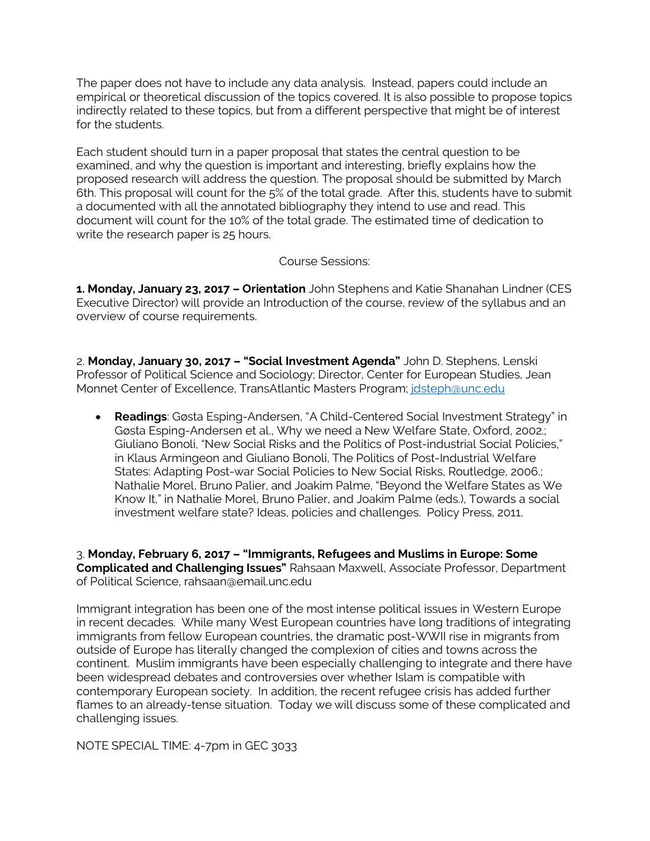The paper does not have to include any data analysis. Instead, papers could include an empirical or theoretical discussion of the topics covered. It is also possible to propose topics indirectly related to these topics, but from a different perspective that might be of interest for the students.

Each student should turn in a paper proposal that states the central question to be examined, and why the question is important and interesting, briefly explains how the proposed research will address the question. The proposal should be submitted by March 6th. This proposal will count for the 5% of the total grade. After this, students have to submit a documented with all the annotated bibliography they intend to use and read. This document will count for the 10% of the total grade. The estimated time of dedication to write the research paper is 25 hours.

Course Sessions:

**1. Monday, January 23, 2017 – Orientation** John Stephens and Katie Shanahan Lindner (CES Executive Director) will provide an Introduction of the course, review of the syllabus and an overview of course requirements.

2. **Monday, January 30, 2017 – "Social Investment Agenda"** John D. Stephens, Lenski Professor of Political Science and Sociology; Director, Center for European Studies, Jean Monnet Center of Excellence, TransAtlantic Masters Program; jdsteph@unc.edu

• **Readings**: Gøsta Esping-Andersen, "A Child-Centered Social Investment Strategy" in Gøsta Esping-Andersen et al., Why we need a New Welfare State, Oxford, 2002.; Giuliano Bonoli, "New Social Risks and the Politics of Post-industrial Social Policies," in Klaus Armingeon and Giuliano Bonoli, The Politics of Post-Industrial Welfare States: Adapting Post-war Social Policies to New Social Risks, Routledge, 2006.; Nathalie Morel, Bruno Palier, and Joakim Palme, "Beyond the Welfare States as We Know It," in Nathalie Morel, Bruno Palier, and Joakim Palme (eds.), Towards a social investment welfare state? Ideas, policies and challenges. Policy Press, 2011.

3. **Monday, February 6, 2017 – "Immigrants, Refugees and Muslims in Europe: Some Complicated and Challenging Issues"** Rahsaan Maxwell, Associate Professor, Department of Political Science, rahsaan@email.unc.edu

Immigrant integration has been one of the most intense political issues in Western Europe in recent decades. While many West European countries have long traditions of integrating immigrants from fellow European countries, the dramatic post-WWII rise in migrants from outside of Europe has literally changed the complexion of cities and towns across the continent. Muslim immigrants have been especially challenging to integrate and there have been widespread debates and controversies over whether Islam is compatible with contemporary European society. In addition, the recent refugee crisis has added further flames to an already-tense situation. Today we will discuss some of these complicated and challenging issues.

NOTE SPECIAL TIME: 4-7pm in GEC 3033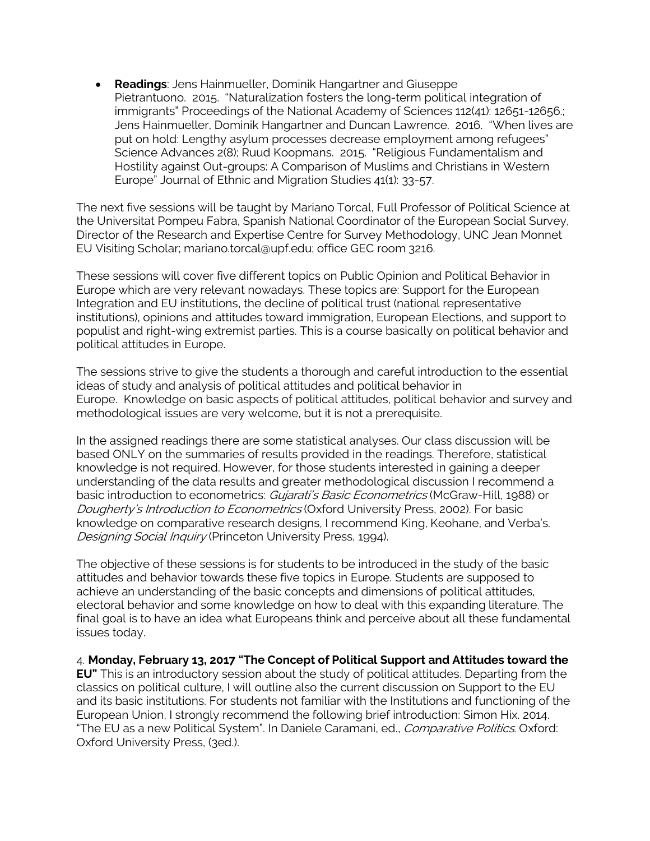• **Readings**: Jens Hainmueller, Dominik Hangartner and Giuseppe Pietrantuono. 2015. "Naturalization fosters the long-term political integration of immigrants" Proceedings of the National Academy of Sciences 112(41): 12651-12656.; Jens Hainmueller, Dominik Hangartner and Duncan Lawrence. 2016. "When lives are put on hold: Lengthy asylum processes decrease employment among refugees" Science Advances 2(8); Ruud Koopmans. 2015. "Religious Fundamentalism and Hostility against Out-groups: A Comparison of Muslims and Christians in Western Europe" Journal of Ethnic and Migration Studies 41(1): 33-57.

The next five sessions will be taught by Mariano Torcal, Full Professor of Political Science at the Universitat Pompeu Fabra, Spanish National Coordinator of the European Social Survey, Director of the Research and Expertise Centre for Survey Methodology, UNC Jean Monnet EU Visiting Scholar; mariano.torcal@upf.edu; office GEC room 3216.

These sessions will cover five different topics on Public Opinion and Political Behavior in Europe which are very relevant nowadays. These topics are: Support for the European Integration and EU institutions, the decline of political trust (national representative institutions), opinions and attitudes toward immigration, European Elections, and support to populist and right-wing extremist parties. This is a course basically on political behavior and political attitudes in Europe.

The sessions strive to give the students a thorough and careful introduction to the essential ideas of study and analysis of political attitudes and political behavior in Europe. Knowledge on basic aspects of political attitudes, political behavior and survey and methodological issues are very welcome, but it is not a prerequisite.

In the assigned readings there are some statistical analyses. Our class discussion will be based ONLY on the summaries of results provided in the readings. Therefore, statistical knowledge is not required. However, for those students interested in gaining a deeper understanding of the data results and greater methodological discussion I recommend a basic introduction to econometrics: *Gujarati's Basic Econometrics* (McGraw-Hill, 1988) or Dougherty's Introduction to Econometrics (Oxford University Press, 2002). For basic knowledge on comparative research designs, I recommend King, Keohane, and Verba's. Designing Social Inquiry (Princeton University Press, 1994).

The objective of these sessions is for students to be introduced in the study of the basic attitudes and behavior towards these five topics in Europe. Students are supposed to achieve an understanding of the basic concepts and dimensions of political attitudes, electoral behavior and some knowledge on how to deal with this expanding literature. The final goal is to have an idea what Europeans think and perceive about all these fundamental issues today.

4. **Monday, February 13, 2017 "The Concept of Political Support and Attitudes toward the EU"** This is an introductory session about the study of political attitudes. Departing from the classics on political culture, I will outline also the current discussion on Support to the EU and its basic institutions. For students not familiar with the Institutions and functioning of the European Union, I strongly recommend the following brief introduction: Simon Hix. 2014. "The EU as a new Political System". In Daniele Caramani, ed., *Comparative Politics*. Oxford: Oxford University Press, (3ed.).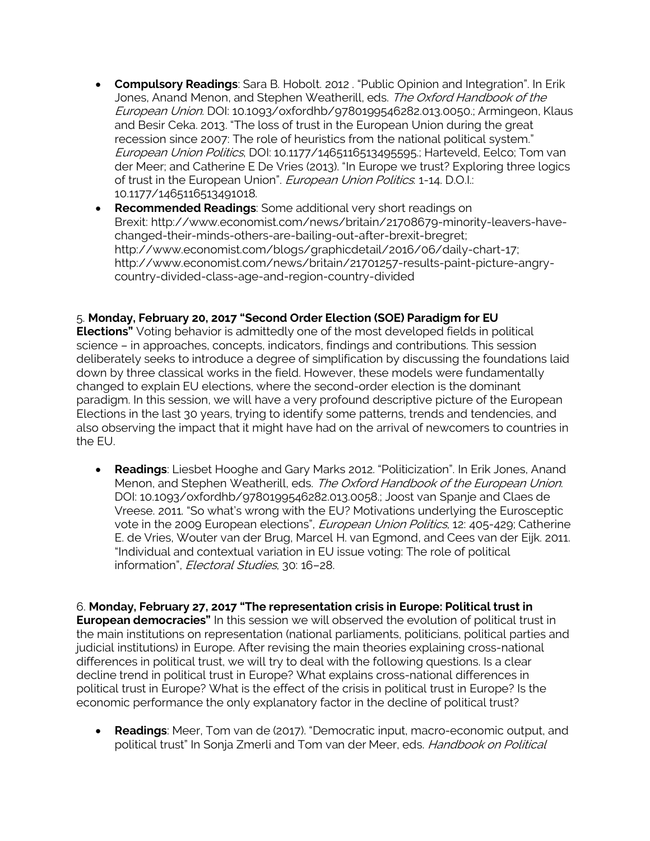- **Compulsory Readings**: Sara B. Hobolt. 2012 . "Public Opinion and Integration". In Erik Jones, Anand Menon, and Stephen Weatherill, eds. The Oxford Handbook of the European Union. DOI: 10.1093/oxfordhb/9780199546282.013.0050.; Armingeon, Klaus and Besir Ceka. 2013. "The loss of trust in the European Union during the great recession since 2007: The role of heuristics from the national political system." European Union Politics, DOI: 10.1177/1465116513495595.; Harteveld, Eelco; Tom van der Meer; and Catherine E De Vries (2013). "In Europe we trust? Exploring three logics of trust in the European Union". European Union Politics: 1-14. D.O.I.: 10.1177/1465116513491018.
- **Recommended Readings**: Some additional very short readings on Brexit: http://www.economist.com/news/britain/21708679-minority-leavers-havechanged-their-minds-others-are-bailing-out-after-brexit-bregret; http://www.economist.com/blogs/graphicdetail/2016/06/daily-chart-17; http://www.economist.com/news/britain/21701257-results-paint-picture-angrycountry-divided-class-age-and-region-country-divided

### 5. **Monday, February 20, 2017 "Second Order Election (SOE) Paradigm for EU**

**Elections"** Voting behavior is admittedly one of the most developed fields in political science – in approaches, concepts, indicators, findings and contributions. This session deliberately seeks to introduce a degree of simplification by discussing the foundations laid down by three classical works in the field. However, these models were fundamentally changed to explain EU elections, where the second-order election is the dominant paradigm. In this session, we will have a very profound descriptive picture of the European Elections in the last 30 years, trying to identify some patterns, trends and tendencies, and also observing the impact that it might have had on the arrival of newcomers to countries in the EU.

• **Readings**: Liesbet Hooghe and Gary Marks 2012. "Politicization". In Erik Jones, Anand Menon, and Stephen Weatherill, eds. The Oxford Handbook of the European Union. DOI: 10.1093/oxfordhb/9780199546282.013.0058.; Joost van Spanje and Claes de Vreese. 2011. "So what's wrong with the EU? Motivations underlying the Eurosceptic vote in the 2009 European elections", *European Union Politics*, 12: 405-429; Catherine E. de Vries, Wouter van der Brug, Marcel H. van Egmond, and Cees van der Eijk. 2011. "Individual and contextual variation in EU issue voting: The role of political information", *Electoral Studies*, 30: 16-28.

6. **Monday, February 27, 2017 "The representation crisis in Europe: Political trust in European democracies"** In this session we will observed the evolution of political trust in the main institutions on representation (national parliaments, politicians, political parties and judicial institutions) in Europe. After revising the main theories explaining cross-national differences in political trust, we will try to deal with the following questions. Is a clear decline trend in political trust in Europe? What explains cross-national differences in political trust in Europe? What is the effect of the crisis in political trust in Europe? Is the economic performance the only explanatory factor in the decline of political trust?

• **Readings**: Meer, Tom van de (2017). "Democratic input, macro-economic output, and political trust" In Sonja Zmerli and Tom van der Meer, eds. Handbook on Political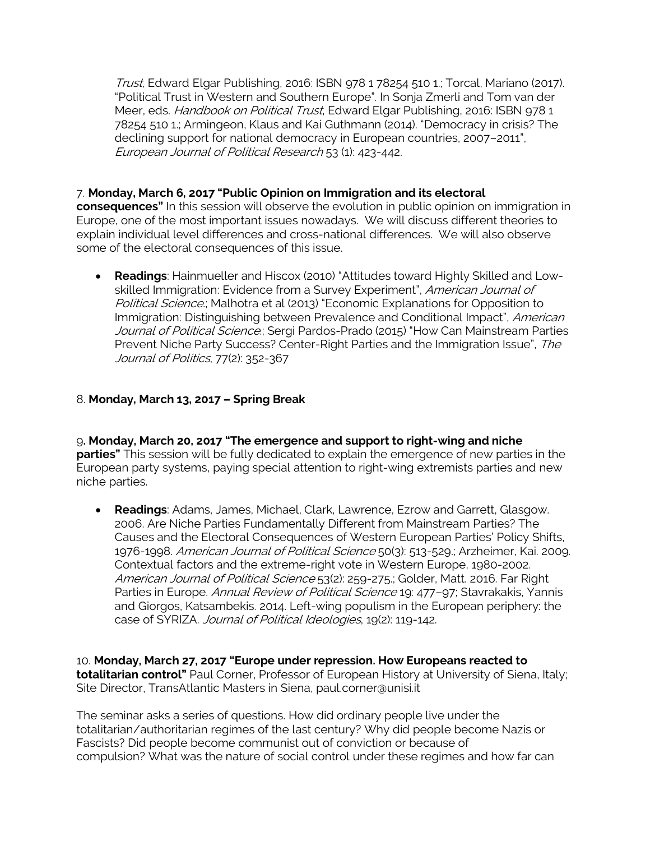Trust, Edward Elgar Publishing, 2016: ISBN 978 1 78254 510 1.; Torcal, Mariano (2017). "Political Trust in Western and Southern Europe". In Sonja Zmerli and Tom van der Meer, eds. Handbook on Political Trust, Edward Elgar Publishing, 2016: ISBN 9781 78254 510 1.; Armingeon, Klaus and Kai Guthmann (2014). "Democracy in crisis? The declining support for national democracy in European countries, 2007–2011", European Journal of Political Research 53 (1): 423-442.

# 7. **Monday, March 6, 2017 "Public Opinion on Immigration and its electoral**

**consequences"** In this session will observe the evolution in public opinion on immigration in Europe, one of the most important issues nowadays. We will discuss different theories to explain individual level differences and cross-national differences. We will also observe some of the electoral consequences of this issue.

• **Readings**: Hainmueller and Hiscox (2010) "Attitudes toward Highly Skilled and Lowskilled Immigration: Evidence from a Survey Experiment", American Journal of Political Science.; Malhotra et al (2013) "Economic Explanations for Opposition to Immigration: Distinguishing between Prevalence and Conditional Impact", American Journal of Political Science.; Sergi Pardos-Prado (2015) "How Can Mainstream Parties Prevent Niche Party Success? Center-Right Parties and the Immigration Issue", The Journal of Politics, 77(2): 352-367

# 8. **Monday, March 13, 2017 – Spring Break**

9**. Monday, March 20, 2017 "The emergence and support to right-wing and niche parties"** This session will be fully dedicated to explain the emergence of new parties in the European party systems, paying special attention to right-wing extremists parties and new niche parties.

• **Readings**: Adams, James, Michael, Clark, Lawrence, Ezrow and Garrett, Glasgow. 2006. Are Niche Parties Fundamentally Different from Mainstream Parties? The Causes and the Electoral Consequences of Western European Parties' Policy Shifts, 1976-1998. *American Journal of Political Science* 50(3): 513-529.; Arzheimer, Kai. 2009. Contextual factors and the extreme-right vote in Western Europe, 1980-2002. American Journal of Political Science 53(2): 259-275.; Golder, Matt. 2016. Far Right Parties in Europe. Annual Review of Political Science 19: 477-97; Stavrakakis, Yannis and Giorgos, Katsambekis. 2014. Left-wing populism in the European periphery: the case of SYRIZA. Journal of Political Ideologies, 19(2): 119-142.

10. **Monday, March 27, 2017 "Europe under repression. How Europeans reacted to totalitarian control"** Paul Corner, Professor of European History at University of Siena, Italy; Site Director, TransAtlantic Masters in Siena, paul.corner@unisi.it

The seminar asks a series of questions. How did ordinary people live under the totalitarian/authoritarian regimes of the last century? Why did people become Nazis or Fascists? Did people become communist out of conviction or because of compulsion? What was the nature of social control under these regimes and how far can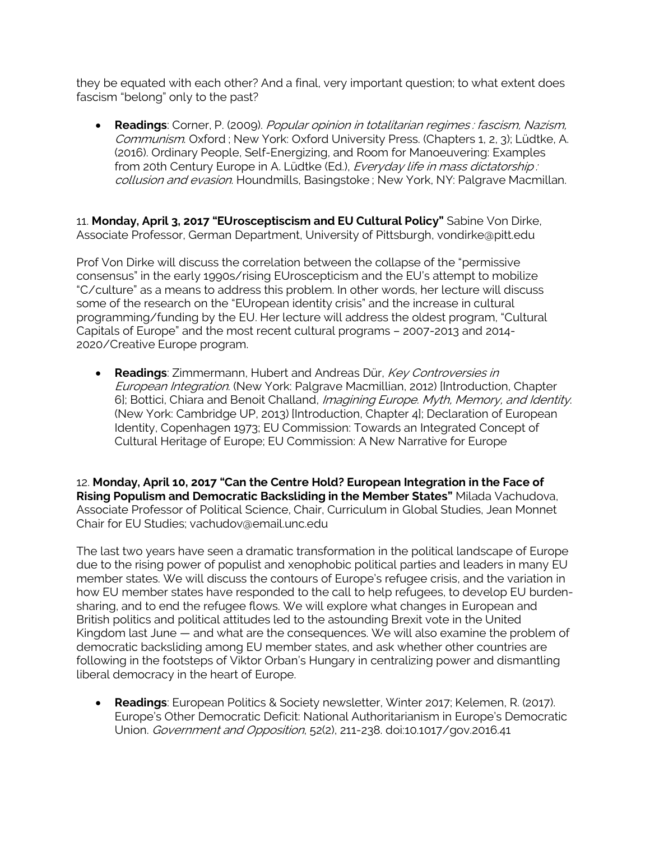they be equated with each other? And a final, very important question; to what extent does fascism "belong" only to the past?

• **Readings**: Corner, P. (2009). Popular opinion in totalitarian regimes : fascism, Nazism, Communism. Oxford ; New York: Oxford University Press. (Chapters 1, 2, 3); Lüdtke, A. (2016). Ordinary People, Self-Energizing, and Room for Manoeuvering: Examples from 20th Century Europe in A. Lüdtke (Ed.), Everyday life in mass dictatorship: collusion and evasion. Houndmills, Basingstoke ; New York, NY: Palgrave Macmillan.

11. **Monday, April 3, 2017 "EUrosceptiscism and EU Cultural Policy"** Sabine Von Dirke, Associate Professor, German Department, University of Pittsburgh, vondirke@pitt.edu

Prof Von Dirke will discuss the correlation between the collapse of the "permissive consensus" in the early 1990s/rising EUroscepticism and the EU's attempt to mobilize "C/culture" as a means to address this problem. In other words, her lecture will discuss some of the research on the "EUropean identity crisis" and the increase in cultural programming/funding by the EU. Her lecture will address the oldest program, "Cultural Capitals of Europe" and the most recent cultural programs – 2007-2013 and 2014- 2020/Creative Europe program.

• **Readings**: Zimmermann, Hubert and Andreas Dür, Key Controversies in European Integration. (New York: Palgrave Macmillian, 2012) [Introduction, Chapter 6]; Bottici, Chiara and Benoit Challand, Imagining Europe. Myth, Memory, and Identity. (New York: Cambridge UP, 2013) [Introduction, Chapter 4]; Declaration of European Identity, Copenhagen 1973; EU Commission: Towards an Integrated Concept of Cultural Heritage of Europe; EU Commission: A New Narrative for Europe

12. **Monday, April 10, 2017 "Can the Centre Hold? European Integration in the Face of Rising Populism and Democratic Backsliding in the Member States"** Milada Vachudova, Associate Professor of Political Science, Chair, Curriculum in Global Studies, Jean Monnet Chair for EU Studies; vachudov@email.unc.edu

The last two years have seen a dramatic transformation in the political landscape of Europe due to the rising power of populist and xenophobic political parties and leaders in many EU member states. We will discuss the contours of Europe's refugee crisis, and the variation in how EU member states have responded to the call to help refugees, to develop EU burdensharing, and to end the refugee flows. We will explore what changes in European and British politics and political attitudes led to the astounding Brexit vote in the United Kingdom last June — and what are the consequences. We will also examine the problem of democratic backsliding among EU member states, and ask whether other countries are following in the footsteps of Viktor Orban's Hungary in centralizing power and dismantling liberal democracy in the heart of Europe.

• **Readings**: European Politics & Society newsletter, Winter 2017; Kelemen, R. (2017). Europe's Other Democratic Deficit: National Authoritarianism in Europe's Democratic Union. Government and Opposition, 52(2), 211-238. doi:10.1017/gov.2016.41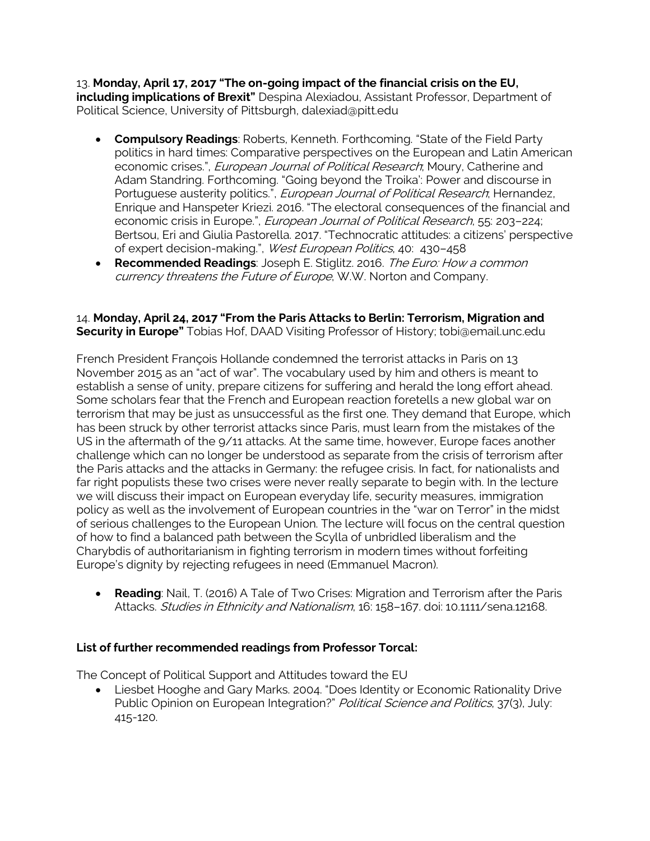13. **Monday, April 17, 2017 "The on-going impact of the financial crisis on the EU, including implications of Brexit"** Despina Alexiadou, Assistant Professor, Department of Political Science, University of Pittsburgh, dalexiad@pitt.edu

- **Compulsory Readings**: Roberts, Kenneth. Forthcoming. "State of the Field Party politics in hard times: Comparative perspectives on the European and Latin American economic crises.", *European Journal of Political Research*; Moury, Catherine and Adam Standring. Forthcoming. "Going beyond the Troika': Power and discourse in Portuguese austerity politics.", *European Journal of Political Research*; Hernandez, Enrique and Hanspeter Kriezi. 2016. "The electoral consequences of the financial and economic crisis in Europe.", *European Journal of Political Research*, 55: 203-224; Bertsou, Eri and Giulia Pastorella. 2017. "Technocratic attitudes: a citizens' perspective of expert decision-making.", West European Politics, 40: 430–458
- **Recommended Readings**: Joseph E. Stiglitz. 2016. The Euro: How a common currency threatens the Future of Europe, W.W. Norton and Company.

### 14. **Monday, April 24, 2017 "From the Paris Attacks to Berlin: Terrorism, Migration and Security in Europe"** Tobias Hof, DAAD Visiting Professor of History; tobi@email.unc.edu

French President François Hollande condemned the terrorist attacks in Paris on 13 November 2015 as an "act of war". The vocabulary used by him and others is meant to establish a sense of unity, prepare citizens for suffering and herald the long effort ahead. Some scholars fear that the French and European reaction foretells a new global war on terrorism that may be just as unsuccessful as the first one. They demand that Europe, which has been struck by other terrorist attacks since Paris, must learn from the mistakes of the US in the aftermath of the 9/11 attacks. At the same time, however, Europe faces another challenge which can no longer be understood as separate from the crisis of terrorism after the Paris attacks and the attacks in Germany: the refugee crisis. In fact, for nationalists and far right populists these two crises were never really separate to begin with. In the lecture we will discuss their impact on European everyday life, security measures, immigration policy as well as the involvement of European countries in the "war on Terror" in the midst of serious challenges to the European Union. The lecture will focus on the central question of how to find a balanced path between the Scylla of unbridled liberalism and the Charybdis of authoritarianism in fighting terrorism in modern times without forfeiting Europe's dignity by rejecting refugees in need (Emmanuel Macron).

• **Reading**: Nail, T. (2016) A Tale of Two Crises: Migration and Terrorism after the Paris Attacks. Studies in Ethnicity and Nationalism, 16: 158-167. doi: 10.1111/sena.12168.

# **List of further recommended readings from Professor Torcal:**

The Concept of Political Support and Attitudes toward the EU

• Liesbet Hooghe and Gary Marks. 2004. "Does Identity or Economic Rationality Drive Public Opinion on European Integration?" Political Science and Politics, 37(3), July: 415-120.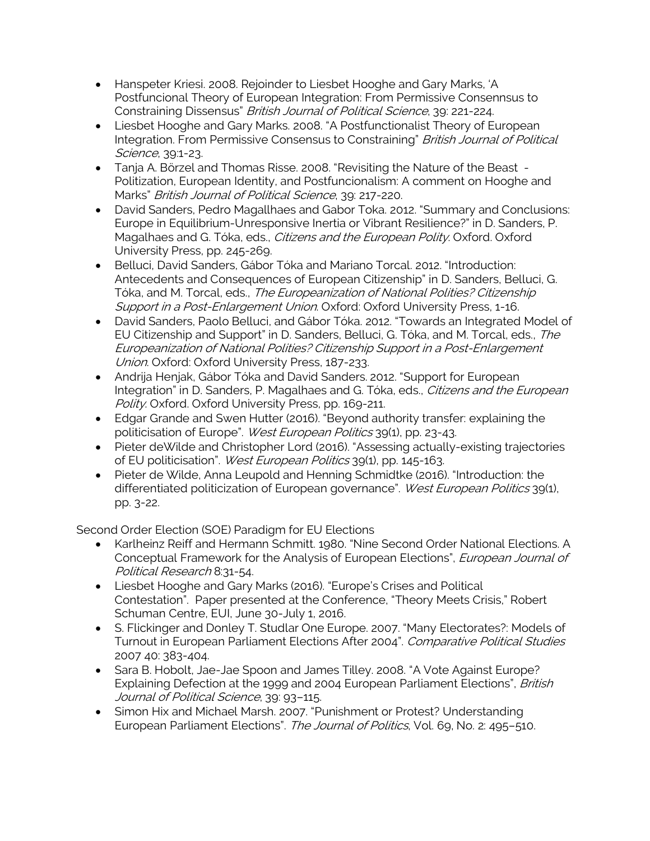- Hanspeter Kriesi. 2008. Rejoinder to Liesbet Hooghe and Gary Marks, 'A Postfuncional Theory of European Integration: From Permissive Consennsus to Constraining Dissensus" British Journal of Political Science, 39: 221-224.
- Liesbet Hooghe and Gary Marks. 2008. "A Postfunctionalist Theory of European Integration. From Permissive Consensus to Constraining" British Journal of Political Science, 39:1-23.
- Tanja A. Börzel and Thomas Risse. 2008. "Revisiting the Nature of the Beast Politization, European Identity, and Postfuncionalism: A comment on Hooghe and Marks" British Journal of Political Science, 39: 217-220.
- David Sanders, Pedro Magallhaes and Gabor Toka. 2012. "Summary and Conclusions: Europe in Equilibrium-Unresponsive Inertia or Vibrant Resilience?" in D. Sanders, P. Magalhaes and G. Tóka, eds., *Citizens and the European Polity*. Oxford. Oxford University Press, pp. 245-269.
- Belluci, David Sanders, Gábor Tóka and Mariano Torcal. 2012. "Introduction: Antecedents and Consequences of European Citizenship" in D. Sanders, Belluci, G. Tóka, and M. Torcal, eds., The Europeanization of National Polities? Citizenship Support in a Post-Enlargement Union. Oxford: Oxford University Press, 1-16.
- David Sanders, Paolo Belluci, and Gábor Tóka. 2012. "Towards an Integrated Model of EU Citizenship and Support" in D. Sanders, Belluci, G. Tóka, and M. Torcal, eds., The Europeanization of National Polities? Citizenship Support in a Post-Enlargement Union. Oxford: Oxford University Press, 187-233.
- Andrija Henjak, Gábor Tóka and David Sanders. 2012. "Support for European Integration" in D. Sanders, P. Magalhaes and G. Tóka, eds., Citizens and the European Polity. Oxford. Oxford University Press, pp. 169-211.
- Edgar Grande and Swen Hutter (2016). "Beyond authority transfer: explaining the politicisation of Europe". West European Politics 39(1), pp. 23-43.
- Pieter deWilde and Christopher Lord (2016). "Assessing actually-existing trajectories of EU politicisation". West European Politics 39(1), pp. 145-163.
- Pieter de Wilde, Anna Leupold and Henning Schmidtke (2016). "Introduction: the differentiated politicization of European governance". West European Politics 39(1), pp. 3-22.

Second Order Election (SOE) Paradigm for EU Elections

- Karlheinz Reiff and Hermann Schmitt. 1980. "Nine Second Order National Elections. A Conceptual Framework for the Analysis of European Elections", *European Journal of* Political Research 8:31-54.
- Liesbet Hooghe and Gary Marks (2016). "Europe's Crises and Political Contestation". Paper presented at the Conference, "Theory Meets Crisis," Robert Schuman Centre, EUI, June 30-July 1, 2016.
- S. Flickinger and Donley T. Studlar One Europe. 2007. "Many Electorates?: Models of Turnout in European Parliament Elections After 2004". Comparative Political Studies 2007 40: 383-404.
- Sara B. Hobolt, Jae-Jae Spoon and James Tilley. 2008. "A Vote Against Europe? Explaining Defection at the 1999 and 2004 European Parliament Elections", British Journal of Political Science, 39: 93-115.
- Simon Hix and Michael Marsh. 2007. "Punishment or Protest? Understanding European Parliament Elections". The Journal of Politics, Vol. 69, No. 2: 495-510.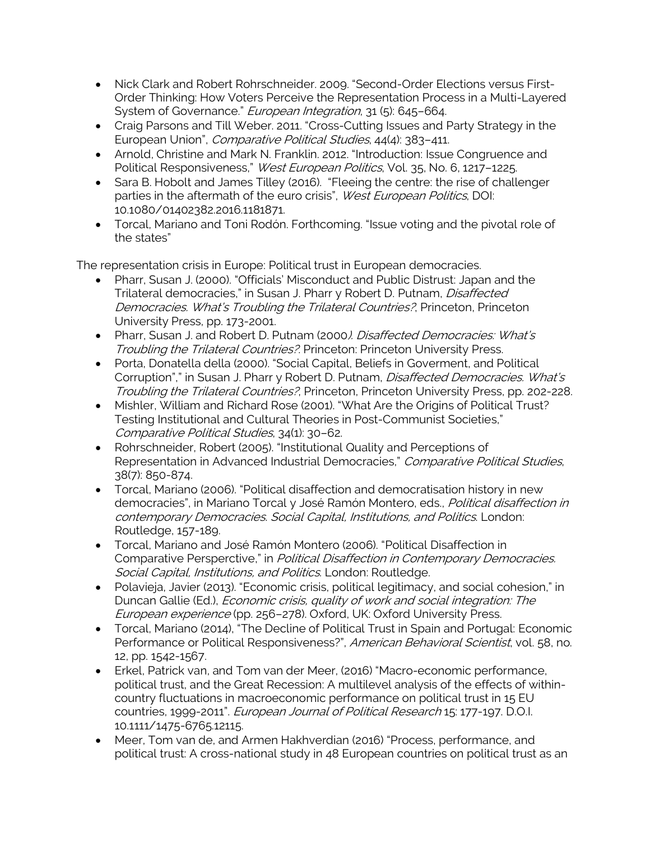- Nick Clark and Robert Rohrschneider. 2009. "Second-Order Elections versus First-Order Thinking: How Voters Perceive the Representation Process in a Multi-Layered System of Governance." European Integration, 31 (5): 645-664.
- Craig Parsons and Till Weber. 2011. "Cross-Cutting Issues and Party Strategy in the European Union", Comparative Political Studies, 44(4): 383-411.
- Arnold, Christine and Mark N. Franklin. 2012. "Introduction: Issue Congruence and Political Responsiveness," West European Politics, Vol. 35, No. 6, 1217-1225.
- Sara B. Hobolt and James Tilley (2016). "Fleeing the centre: the rise of challenger parties in the aftermath of the euro crisis", West European Politics, DOI: 10.1080/01402382.2016.1181871.
- Torcal, Mariano and Toni Rodón. Forthcoming. "Issue voting and the pivotal role of the states"

The representation crisis in Europe: Political trust in European democracies.

- Pharr, Susan J. (2000). "Officials' Misconduct and Public Distrust: Japan and the Trilateral democracies," in Susan J. Pharr y Robert D. Putnam, *Disaffected* Democracies. What's Troubling the Trilateral Countries?, Princeton, Princeton University Press, pp. 173-2001.
- Pharr, Susan J. and Robert D. Putnam (2000). Disaffected Democracies: What's Troubling the Trilateral Countries?. Princeton: Princeton University Press.
- Porta, Donatella della (2000). "Social Capital, Beliefs in Goverment, and Political Corruption"," in Susan J. Pharr y Robert D. Putnam, *Disaffected Democracies. What's* Troubling the Trilateral Countries?, Princeton, Princeton University Press, pp. 202-228.
- Mishler, William and Richard Rose (2001). "What Are the Origins of Political Trust? Testing Institutional and Cultural Theories in Post-Communist Societies," Comparative Political Studies, 34(1): 30–62.
- Rohrschneider, Robert (2005). "Institutional Quality and Perceptions of Representation in Advanced Industrial Democracies," Comparative Political Studies, 38(7): 850-874.
- Torcal, Mariano (2006). "Political disaffection and democratisation history in new democracies", in Mariano Torcal y José Ramón Montero, eds., Political disaffection in contemporary Democracies. Social Capital, Institutions, and Politics. London: Routledge, 157-189.
- Torcal, Mariano and José Ramón Montero (2006). "Political Disaffection in Comparative Persperctive," in Political Disaffection in Contemporary Democracies. Social Capital, Institutions, and Politics. London: Routledge.
- Polavieja, Javier (2013). "Economic crisis, political legitimacy, and social cohesion," in Duncan Gallie (Ed.), *Economic crisis, quality of work and social integration: The* European experience (pp. 256–278). Oxford, UK: Oxford University Press.
- Torcal, Mariano (2014), "The Decline of Political Trust in Spain and Portugal: Economic Performance or Political Responsiveness?", American Behavioral Scientist, vol. 58, no. 12, pp. 1542-1567.
- Erkel, Patrick van, and Tom van der Meer, (2016) "Macro-economic performance, political trust, and the Great Recession: A multilevel analysis of the effects of withincountry fluctuations in macroeconomic performance on political trust in 15 EU countries, 1999-2011". European Journal of Political Research 15: 177-197. D.O.I. 10.1111/1475-6765.12115.
- Meer, Tom van de, and Armen Hakhverdian (2016) "Process, performance, and political trust: A cross-national study in 48 European countries on political trust as an